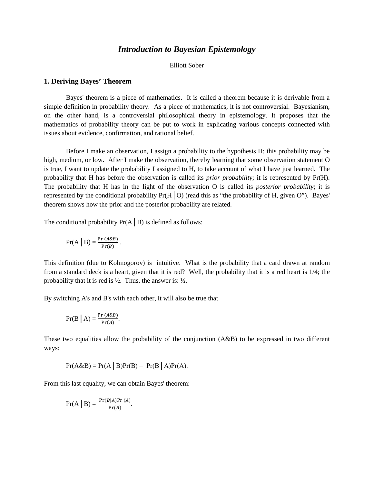# *Introduction to Bayesian Epistemology*

Elliott Sober

### **1. Deriving Bayes' Theorem**

Bayes' theorem is a piece of mathematics. It is called a theorem because it is derivable from a simple definition in probability theory. As a piece of mathematics, it is not controversial. Bayesianism, on the other hand, is a controversial philosophical theory in epistemology. It proposes that the mathematics of probability theory can be put to work in explicating various concepts connected with issues about evidence, confirmation, and rational belief.

Before I make an observation, I assign a probability to the hypothesis H; this probability may be high, medium, or low. After I make the observation, thereby learning that some observation statement O is true, I want to update the probability I assigned to H, to take account of what I have just learned. The probability that H has before the observation is called its *prior probability*; it is represented by Pr(H). The probability that H has in the light of the observation O is called its *posterior probability*; it is represented by the conditional probability  $Pr(H|O)$  (read this as "the probability of H, given O"). Bayes' theorem shows how the prior and the posterior probability are related.

The conditional probability  $Pr(A \mid B)$  is defined as follows:

$$
Pr(A | B) = \frac{Pr(A \& B)}{Pr(B)}.
$$

This definition (due to Kolmogorov) is intuitive. What is the probability that a card drawn at random from a standard deck is a heart, given that it is red? Well, the probability that it is a red heart is 1/4; the probability that it is red is  $\frac{1}{2}$ . Thus, the answer is:  $\frac{1}{2}$ .

By switching A's and B's with each other, it will also be true that

$$
Pr(B | A) = \frac{Pr(A \& B)}{Pr(A)}.
$$

These two equalities allow the probability of the conjunction (A&B) to be expressed in two different ways:

$$
Pr(A&B) = Pr(A | B)Pr(B) = Pr(B | A)Pr(A).
$$

From this last equality, we can obtain Bayes' theorem:

$$
Pr(A | B) = \frac{Pr(B|A)Pr(A)}{Pr(B)}.
$$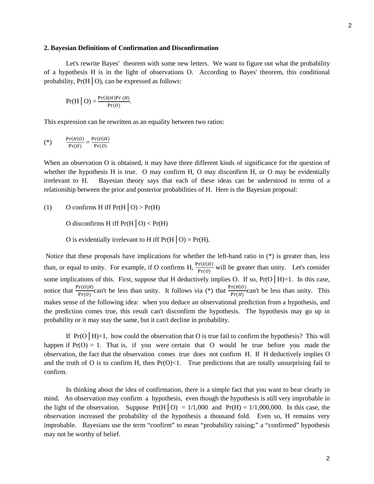#### **2. Bayesian Definitions of Confirmation and Disconfirmation**

Let's rewrite Bayes' theorem with some new letters. We want to figure out what the probability of a hypothesis H is in the light of observations O. According to Bayes' theorem, this conditional probability,  $Pr(H | O)$ , can be expressed as follows:

$$
Pr(H | O) = \frac{Pr(0|H)Pr(H)}{Pr(O)}.
$$

This expression can be rewritten as an equality between two ratios:

$$
(*) \qquad \frac{\Pr(H|O)}{\Pr(H)} = \frac{\Pr(O|H)}{\Pr(O)}
$$

When an observation O is obtained, it may have three different kinds of significance for the question of whether the hypothesis H is true. O may confirm H, O may disconfirm H, or O may be evidentially irrelevant to H. Bayesian theory says that each of these ideas can be understood in terms of a relationship between the prior and posterior probabilities of H. Here is the Bayesian proposal:

(1) O confirms H iff 
$$
Pr(H | O) > Pr(H)
$$

O disconfirms H iff  $Pr(H | O) < Pr(H)$ 

O is evidentially irrelevant to H iff  $Pr(H | O) = Pr(H)$ .

Notice that these proposals have implications for whether the left-hand ratio in (\*) is greater than, less than, or equal to unity. For example, if O confirms H,  $\frac{Pr(O|H)}{Pr(O)}$  will be greater than unity. Let's consider some implications of this. First, suppose that H deductively implies O. If so, Pr(O | H)=1. In this case, notice that  $\frac{\Pr(O|H)}{\Pr(O)}$  can't be less than unity. It follows via (\*) that  $\frac{\Pr(H|O)}{\Pr(H)}$  can't be less than unity. This makes sense of the following idea: when you deduce an observational prediction from a hypothesis, and the prediction comes true, this result can't disconfirm the hypothesis. The hypothesis may go up in probability or it may stay the same, but it can't decline in probability.

If  $Pr(O \mid H)=1$ , how could the observation that O is true fail to confirm the hypothesis? This will happen if  $Pr(O) = 1$ . That is, if you were certain that O would be true before you made the observation, the fact that the observation comes true does not confirm H. If H deductively implies O and the truth of O is to confirm H, then  $Pr(O) < 1$ . True predictions that are totally unsurprising fail to confirm.

In thinking about the idea of confirmation, there is a simple fact that you want to bear clearly in mind. An observation may confirm a hypothesis, even though the hypothesis is still very improbable in the light of the observation. Suppose  $Pr(H|O) = 1/1,000$  and  $Pr(H) = 1/1,000,000$ . In this case, the observation increased the probability of the hypothesis a thousand fold. Even so, H remains very improbable. Bayesians use the term "confirm" to mean "probability raising;" a "confirmed" hypothesis may not be worthy of belief.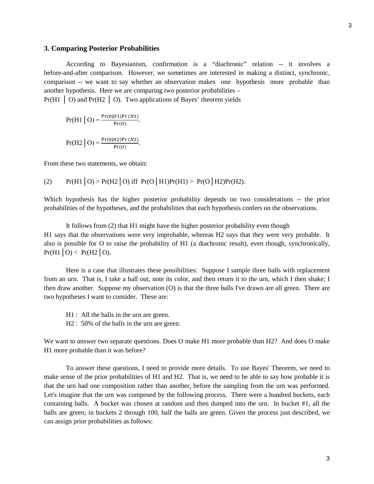#### **3. Comparing Posterior Probabilities**

According to Bayesianism, confirmation is a "diachronic" relation -- it involves a before-and-after comparison. However, we sometimes are interested in making a distinct, synchronic, comparison -- we want to say whether an observation makes one hypothesis more probable than another hypothesis. Here we are comparing two posterior probabilities –  $Pr(H1 \mid O)$  and  $Pr(H2 \mid O)$ . Two applications of Bayes' theorem yields

 $Pr(H1 | O) = \frac{Pr(O|H1)Pr(H1)}{Pr(O)}.$  $Pr(H2 | O) = \frac{Pr(O|H2)Pr(H2)}{Pr(O)}.$ 

From these two statements, we obtain:

(2) Pr(H1│O) > Pr(H2│O) iff Pr(O│H1)Pr(H1) > Pr(O│H2)Pr(H2).

Which hypothesis has the higher posterior probability depends on two considerations -- the prior probabilities of the hypotheses, and the probabilities that each hypothesis confers on the observations.

It follows from (2) that H1 might have the higher posterior probability even though H1 says that the observations were very improbable, whereas H2 says that they were very probable. It also is possible for O to raise the probability of H1 (a diachronic result), even though, synchronically,  $Pr(H1 | O) < Pr(H2 | O)$ .

Here is a case that illustrates these possibilities: Suppose I sample three balls with replacement from an urn. That is, I take a ball out, note its color, and then return it to the urn, which I then shake; I then draw another. Suppose my observation (O) is that the three balls I've drawn are all green. There are two hypotheses I want to consider. These are:

- H1 : All the balls in the urn are green.
- H2 :  $50\%$  of the balls in the urn are green.

We want to answer two separate questions. Does O make H1 more probable than H2? And does O make H1 more probable than it was before?

To answer these questions, I need to provide more details. To use Bayes' Theorem, we need to make sense of the prior probabilities of H1 and H2. That is, we need to be able to say how probable it is that the urn had one composition rather than another, before the sampling from the urn was performed. Let's imagine that the urn was composed by the following process. There were a hundred buckets, each containing balls. A bucket was chosen at random and then dumped into the urn. In bucket #1, all the balls are green; in buckets 2 through 100, half the balls are green. Given the process just described, we can assign prior probabilities as follows: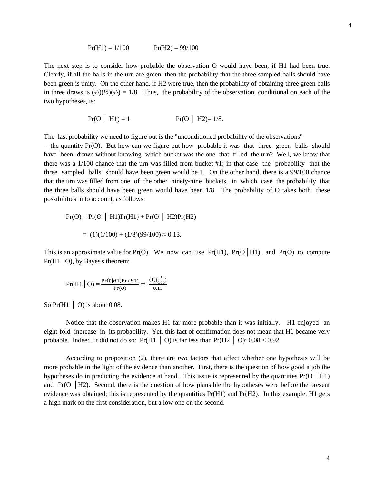The next step is to consider how probable the observation O would have been, if H1 had been true. Clearly, if all the balls in the urn are green, then the probability that the three sampled balls should have been green is unity. On the other hand, if H2 were true, then the probability of obtaining three green balls in three draws is  $(\frac{1}{2})(\frac{1}{2})(\frac{1}{2}) = 1/8$ . Thus, the probability of the observation, conditional on each of the two hypotheses, is:

$$
Pr(O | H1) = 1
$$
  $Pr(O | H2) = 1/8.$ 

The last probability we need to figure out is the "unconditioned probability of the observations"

-- the quantity Pr(O). But how can we figure out how probable it was that three green balls should have been drawn without knowing which bucket was the one that filled the urn? Well, we know that there was a 1/100 chance that the urn was filled from bucket #1; in that case the probability that the three sampled balls should have been green would be 1. On the other hand, there is a 99/100 chance that the urn was filled from one of the other ninety-nine buckets, in which case the probability that the three balls should have been green would have been 1/8. The probability of O takes both these possibilities into account, as follows:

$$
Pr(O) = Pr(O | H1)Pr(H1) + Pr(O | H2)Pr(H2)
$$

$$
= (1)(1/100) + (1/8)(99/100) \approx 0.13.
$$

This is an approximate value for Pr(O). We now can use Pr(H1), Pr(O | H1), and Pr(O) to compute  $Pr(H1|O)$ , by Bayes's theorem:

$$
Pr(H1 | O) = \frac{Pr(0|H1)Pr(H1)}{Pr(O)} = \frac{(1)(\frac{1}{100})}{0.13}
$$

So  $Pr(H1 \mid O)$  is about 0.08.

Notice that the observation makes H1 far more probable than it was initially. H1 enjoyed an eight-fold increase in its probability. Yet, this fact of confirmation does not mean that H1 became very probable. Indeed, it did not do so:  $Pr(H1 \mid O)$  is far less than  $Pr(H2 \mid O)$ ; 0.08 < 0.92.

According to proposition (2), there are *two* factors that affect whether one hypothesis will be more probable in the light of the evidence than another. First, there is the question of how good a job the hypotheses do in predicting the evidence at hand. This issue is represented by the quantities  $Pr(O | H1)$ and  $Pr(O | H2)$ . Second, there is the question of how plausible the hypotheses were before the present evidence was obtained; this is represented by the quantities Pr(H1) and Pr(H2). In this example, H1 gets a high mark on the first consideration, but a low one on the second.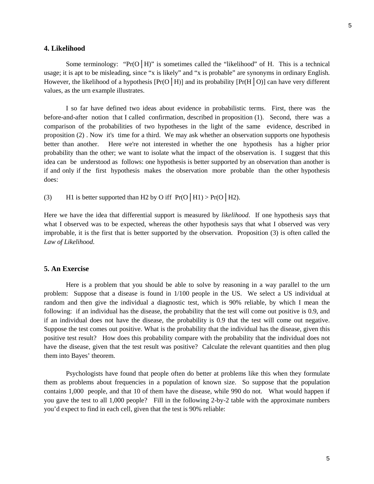### **4. Likelihood**

Some terminology: " $Pr(O | H)$ " is sometimes called the "likelihood" of H. This is a technical usage; it is apt to be misleading, since "x is likely" and "x is probable" are synonyms in ordinary English. However, the likelihood of a hypothesis  $[Pr(O|H)]$  and its probability  $[Pr(H|O)]$  can have very different values, as the urn example illustrates.

I so far have defined two ideas about evidence in probabilistic terms. First, there was the before-and-after notion that I called confirmation, described in proposition (1). Second, there was a comparison of the probabilities of two hypotheses in the light of the same evidence, described in proposition (2) . Now it's time for a third. We may ask whether an observation supports one hypothesis better than another. Here we're not interested in whether the one hypothesis has a higher prior probability than the other; we want to isolate what the impact of the observation is. I suggest that this idea can be understood as follows: one hypothesis is better supported by an observation than another is if and only if the first hypothesis makes the observation more probable than the other hypothesis does:

(3) H1 is better supported than H2 by O iff  $Pr(O \mid H1) > Pr(O \mid H2)$ .

Here we have the idea that differential support is measured by *likelihood*. If one hypothesis says that what I observed was to be expected, whereas the other hypothesis says that what I observed was very improbable, it is the first that is better supported by the observation. Proposition (3) is often called the *Law of Likelihood*.

## **5. An Exercise**

Here is a problem that you should be able to solve by reasoning in a way parallel to the urn problem: Suppose that a disease is found in 1/100 people in the US. We select a US individual at random and then give the individual a diagnostic test, which is 90% reliable, by which I mean the following: if an individual has the disease, the probability that the test will come out positive is 0.9, and if an individual does not have the disease, the probability is 0.9 that the test will come out negative. Suppose the test comes out positive. What is the probability that the individual has the disease, given this positive test result? How does this probability compare with the probability that the individual does not have the disease, given that the test result was positive? Calculate the relevant quantities and then plug them into Bayes' theorem.

Psychologists have found that people often do better at problems like this when they formulate them as problems about frequencies in a population of known size. So suppose that the population contains 1,000 people, and that 10 of them have the disease, while 990 do not. What would happen if you gave the test to all 1,000 people? Fill in the following 2-by-2 table with the approximate numbers you'd expect to find in each cell, given that the test is 90% reliable: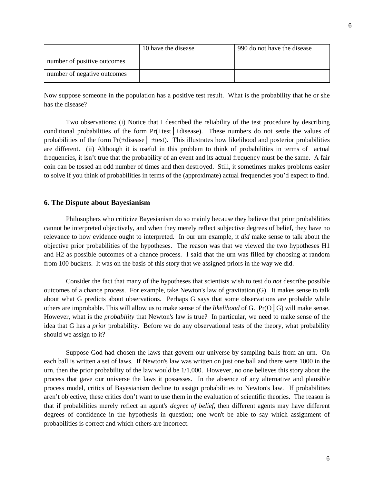|                             | 10 have the disease | 990 do not have the disease |
|-----------------------------|---------------------|-----------------------------|
| number of positive outcomes |                     |                             |
| number of negative outcomes |                     |                             |

Now suppose someone in the population has a positive test result. What is the probability that he or she has the disease?

Two observations: (i) Notice that I described the reliability of the test procedure by describing conditional probabilities of the form Pr(±test│±disease). These numbers do not settle the values of probabilities of the form Pr(±disease│ ±test). This illustrates how likelihood and posterior probabilities are different. (ii) Although it is useful in this problem to think of probabilities in terms of actual frequencies, it isn't true that the probability of an event and its actual frequency must be the same. A fair coin can be tossed an odd number of times and then destroyed. Still, it sometimes makes problems easier to solve if you think of probabilities in terms of the (approximate) actual frequencies you'd expect to find.

### **6. The Dispute about Bayesianism**

Philosophers who criticize Bayesianism do so mainly because they believe that prior probabilities cannot be interpreted objectively, and when they merely reflect subjective degrees of belief, they have no relevance to how evidence ought to interpreted. In our urn example, it *did* make sense to talk about the objective prior probabilities of the hypotheses. The reason was that we viewed the two hypotheses H1 and H2 as possible outcomes of a chance process. I said that the urn was filled by choosing at random from 100 buckets. It was on the basis of this story that we assigned priors in the way we did.

Consider the fact that many of the hypotheses that scientists wish to test do *not* describe possible outcomes of a chance process. For example, take Newton's law of gravitation (G). It makes sense to talk about what G predicts about observations. Perhaps G says that some observations are probable while others are improbable. This will allow us to make sense of the *likelihood* of G. Pr(O│G) will make sense. However, what is the *probability* that Newton's law is true? In particular, we need to make sense of the idea that G has a *prior* probability. Before we do any observational tests of the theory, what probability should we assign to it?

Suppose God had chosen the laws that govern our universe by sampling balls from an urn. On each ball is written a set of laws. If Newton's law was written on just one ball and there were 1000 in the urn, then the prior probability of the law would be 1/1,000. However, no one believes this story about the process that gave our universe the laws it possesses. In the absence of any alternative and plausible process model, critics of Bayesianism decline to assign probabilities to Newton's law. If probabilities aren't objective, these critics don't want to use them in the evaluation of scientific theories. The reason is that if probabilities merely reflect an agent's *degree of belief*, then different agents may have different degrees of confidence in the hypothesis in question; one won't be able to say which assignment of probabilities is correct and which others are incorrect.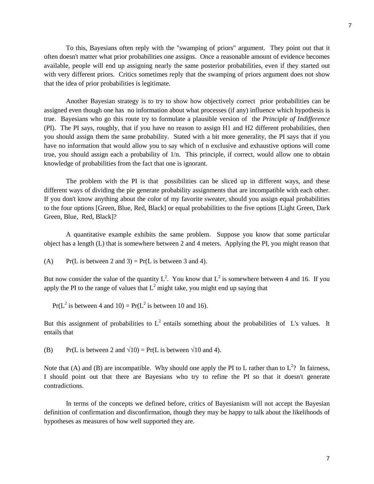To this, Bayesians often reply with the "swamping of priors" argument. They point out that it often doesn't matter what prior probabilities one assigns. Once a reasonable amount of evidence becomes available, people will end up assigning nearly the same posterior probabilities, even if they started out with very different priors. Critics sometimes reply that the swamping of priors argument does not show that the idea of prior probabilities is legitimate.

Another Bayesian strategy is to try to show how objectively correct prior probabilities can be assigned even though one has no information about what processes (if any) influence which hypothesis is true. Bayesians who go this route try to formulate a plausible version of the *Principle of Indifference* (PI). The PI says, roughly, that if you have no reason to assign H1 and H2 different probabilities, then you should assign them the same probability. Stated with a bit more generality, the PI says that if you have no information that would allow you to say which of n exclusive and exhaustive options will come true, you should assign each a probability of 1/n. This principle, if correct, would allow one to obtain knowledge of probabilities from the fact that one is ignorant.

The problem with the PI is that possibilities can be sliced up in different ways, and these different ways of dividing the pie generate probability assignments that are incompatible with each other. If you don't know anything about the color of my favorite sweater, should you assign equal probabilities to the four options [Green, Blue, Red, Black] or equal probabilities to the five options [Light Green, Dark Green, Blue, Red, Black]?

A quantitative example exhibits the same problem. Suppose you know that some particular object has a length (L) that is somewhere between 2 and 4 meters. Applying the PI, you might reason that

(A) Pr(L is between 2 and 3) = Pr(L is between 3 and 4).

But now consider the value of the quantity  $L^2$ . You know that  $L^2$  is somewhere between 4 and 16. If you apply the PI to the range of values that  $L^2$  might take, you might end up saying that

 $Pr(L^2 \text{ is between 4 and } 10) = Pr(L^2 \text{ is between 10 and } 16).$ 

But this assignment of probabilities to  $L^2$  entails something about the probabilities of L's values. It entails that

(B) Pr(L is between 2 and  $\sqrt{10}$ ) = Pr(L is between  $\sqrt{10}$  and 4).

Note that (A) and (B) are incompatible. Why should one apply the PI to L rather than to  $L^2$ ? In fairness, I should point out that there are Bayesians who try to refine the PI so that it doesn't generate contradictions.

In terms of the concepts we defined before, critics of Bayesianism will not accept the Bayesian definition of confirmation and disconfirmation, though they may be happy to talk about the likelihoods of hypotheses as measures of how well supported they are.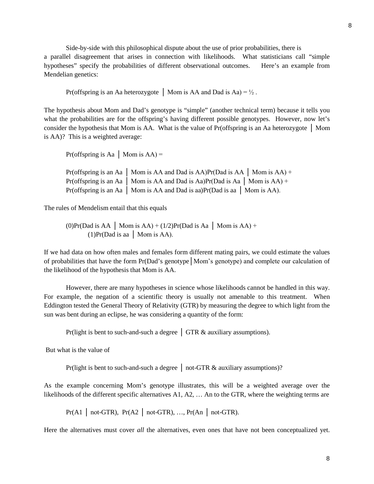Side-by-side with this philosophical dispute about the use of prior probabilities, there is a parallel disagreement that arises in connection with likelihoods. What statisticians call "simple hypotheses" specify the probabilities of different observational outcomes. Here's an example from Mendelian genetics:

Pr(offspring is an Aa heterozygote │ Mom is AA and Dad is Aa) =  $\frac{1}{2}$ .

The hypothesis about Mom and Dad's genotype is "simple" (another technical term) because it tells you what the probabilities are for the offspring's having different possible genotypes. However, now let's consider the hypothesis that Mom is AA. What is the value of Pr(offspring is an Aa heterozygote │ Mom is AA)? This is a weighted average:

Pr(offspring is Aa  $\mid$  Mom is AA) =

| Pr(offspring is an Aa   Mom is AA and Dad is AA)Pr(Dad is AA   Mom is AA) +    |  |
|--------------------------------------------------------------------------------|--|
| Pr(offspring is an Aa   Mom is AA and Dad is Aa)Pr(Dad is Aa   Mom is AA) +    |  |
| Pr(offspring is an Aa   Mom is AA and Dad is aa) $Pr(Dad is aa   Mom is AA)$ . |  |

The rules of Mendelism entail that this equals

(0)Pr(Dad is AA | Mom is AA) + (1/2)Pr(Dad is Aa | Mom is AA) +  $(1)Pr(Dad is aa | Mom is AA).$ 

If we had data on how often males and females form different mating pairs, we could estimate the values of probabilities that have the form Pr(Dad's genotype│Mom's genotype) and complete our calculation of the likelihood of the hypothesis that Mom is AA.

However, there are many hypotheses in science whose likelihoods cannot be handled in this way. For example, the negation of a scientific theory is usually not amenable to this treatment. When Eddington tested the General Theory of Relativity (GTR) by measuring the degree to which light from the sun was bent during an eclipse, he was considering a quantity of the form:

Pr(light is bent to such-and-such a degree  $\vert$  GTR  $\&$  auxiliary assumptions).

But what is the value of

Pr(light is bent to such-and-such a degree │ not-GTR & auxiliary assumptions)?

As the example concerning Mom's genotype illustrates, this will be a weighted average over the likelihoods of the different specific alternatives A1, A2, … An to the GTR, where the weighting terms are

 $Pr(A1 \mid not-GTR)$ ,  $Pr(A2 \mid not-GTR)$ , ...,  $Pr(An \mid not-GTR)$ .

Here the alternatives must cover *all* the alternatives, even ones that have not been conceptualized yet.